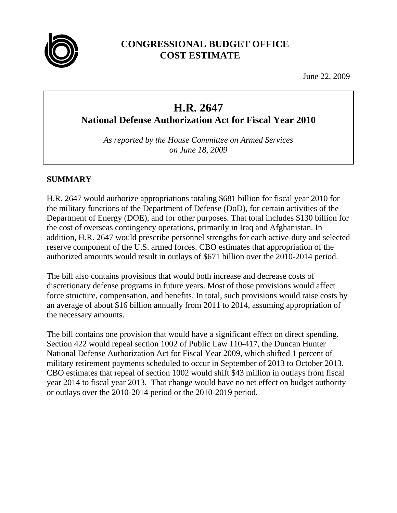

# **CONGRESSIONAL BUDGET OFFICE COST ESTIMATE**

June 22, 2009

# **H.R. 2647**

**National Defense Authorization Act for Fiscal Year 2010** 

*As reported by the House Committee on Armed Services on June 18, 2009* 

# **SUMMARY**

H.R. 2647 would authorize appropriations totaling \$681 billion for fiscal year 2010 for the military functions of the Department of Defense (DoD), for certain activities of the Department of Energy (DOE), and for other purposes. That total includes \$130 billion for the cost of overseas contingency operations, primarily in Iraq and Afghanistan. In addition, H.R. 2647 would prescribe personnel strengths for each active-duty and selected reserve component of the U.S. armed forces. CBO estimates that appropriation of the authorized amounts would result in outlays of \$671 billion over the 2010-2014 period.

The bill also contains provisions that would both increase and decrease costs of discretionary defense programs in future years. Most of those provisions would affect force structure, compensation, and benefits. In total, such provisions would raise costs by an average of about \$16 billion annually from 2011 to 2014, assuming appropriation of the necessary amounts.

The bill contains one provision that would have a significant effect on direct spending. Section 422 would repeal section 1002 of Public Law 110-417, the Duncan Hunter National Defense Authorization Act for Fiscal Year 2009, which shifted 1 percent of military retirement payments scheduled to occur in September of 2013 to October 2013. CBO estimates that repeal of section 1002 would shift \$43 million in outlays from fiscal year 2014 to fiscal year 2013. That change would have no net effect on budget authority or outlays over the 2010-2014 period or the 2010-2019 period.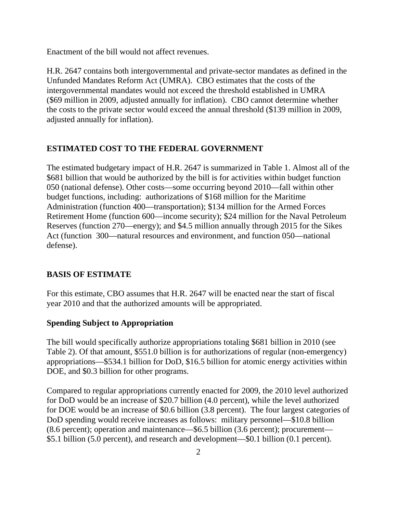Enactment of the bill would not affect revenues.

H.R. 2647 contains both intergovernmental and private-sector mandates as defined in the Unfunded Mandates Reform Act (UMRA). CBO estimates that the costs of the intergovernmental mandates would not exceed the threshold established in UMRA (\$69 million in 2009, adjusted annually for inflation). CBO cannot determine whether the costs to the private sector would exceed the annual threshold (\$139 million in 2009, adjusted annually for inflation).

## **ESTIMATED COST TO THE FEDERAL GOVERNMENT**

The estimated budgetary impact of H.R. 2647 is summarized in Table 1. Almost all of the \$681 billion that would be authorized by the bill is for activities within budget function 050 (national defense). Other costs—some occurring beyond 2010—fall within other budget functions, including: authorizations of \$168 million for the Maritime Administration (function 400—transportation); \$134 million for the Armed Forces Retirement Home (function 600—income security); \$24 million for the Naval Petroleum Reserves (function 270—energy); and \$4.5 million annually through 2015 for the Sikes Act (function 300—natural resources and environment, and function 050—national defense).

## **BASIS OF ESTIMATE**

For this estimate, CBO assumes that H.R. 2647 will be enacted near the start of fiscal year 2010 and that the authorized amounts will be appropriated.

## **Spending Subject to Appropriation**

The bill would specifically authorize appropriations totaling \$681 billion in 2010 (see Table 2). Of that amount, \$551.0 billion is for authorizations of regular (non-emergency) appropriations—\$534.1 billion for DoD, \$16.5 billion for atomic energy activities within DOE, and \$0.3 billion for other programs.

Compared to regular appropriations currently enacted for 2009, the 2010 level authorized for DoD would be an increase of \$20.7 billion (4.0 percent), while the level authorized for DOE would be an increase of \$0.6 billion (3.8 percent). The four largest categories of DoD spending would receive increases as follows: military personnel—\$10.8 billion (8.6 percent); operation and maintenance—\$6.5 billion (3.6 percent); procurement— \$5.1 billion (5.0 percent), and research and development—\$0.1 billion (0.1 percent).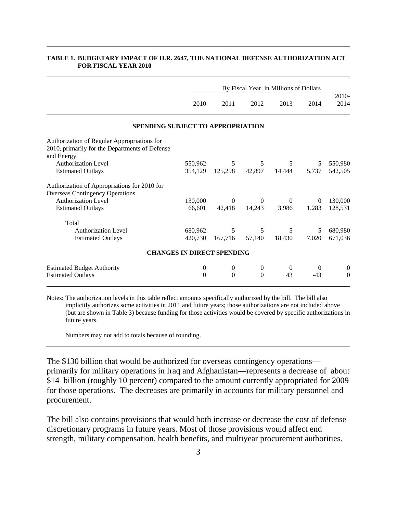|                                                                                                             | By Fiscal Year, in Millions of Dollars |                  |                  |                  |          |                  |  |
|-------------------------------------------------------------------------------------------------------------|----------------------------------------|------------------|------------------|------------------|----------|------------------|--|
|                                                                                                             | 2010                                   | 2011             | 2012             | 2013             | 2014     | 2010-<br>2014    |  |
| SPENDING SUBJECT TO APPROPRIATION                                                                           |                                        |                  |                  |                  |          |                  |  |
| Authorization of Regular Appropriations for<br>2010, primarily for the Departments of Defense<br>and Energy |                                        |                  |                  |                  |          |                  |  |
| <b>Authorization Level</b>                                                                                  | 550,962                                | 5                | 5                | 5                | 5        | 550,980          |  |
| <b>Estimated Outlays</b>                                                                                    | 354,129                                | 125,298          | 42,897           | 14,444           | 5,737    | 542,505          |  |
| Authorization of Appropriations for 2010 for<br><b>Overseas Contingency Operations</b>                      |                                        |                  |                  |                  |          |                  |  |
| <b>Authorization Level</b>                                                                                  | 130,000                                | $\Omega$         | $\Omega$         | $\theta$         | $\theta$ | 130,000          |  |
| <b>Estimated Outlays</b>                                                                                    | 66,601                                 | 42,418           | 14,243           | 3,986            | 1,283    | 128,531          |  |
| Total                                                                                                       |                                        |                  |                  |                  |          |                  |  |
| <b>Authorization Level</b>                                                                                  | 680,962                                | 5                | 5                | 5                | 5        | 680,980          |  |
| <b>Estimated Outlays</b>                                                                                    | 420,730                                | 167,716          | 57,140           | 18,430           | 7,020    | 671,036          |  |
| <b>CHANGES IN DIRECT SPENDING</b>                                                                           |                                        |                  |                  |                  |          |                  |  |
| <b>Estimated Budget Authority</b>                                                                           | $\boldsymbol{0}$                       | $\boldsymbol{0}$ | $\boldsymbol{0}$ | $\boldsymbol{0}$ | $\theta$ | $\boldsymbol{0}$ |  |
| <b>Estimated Outlays</b>                                                                                    | $\Omega$                               | $\theta$         | $\theta$         | 43               | $-43$    | $\theta$         |  |

#### **TABLE 1. BUDGETARY IMPACT OF H.R. 2647, THE NATIONAL DEFENSE AUTHORIZATION ACT FOR FISCAL YEAR 2010**

Notes: The authorization levels in this table reflect amounts specifically authorized by the bill. The bill also implicitly authorizes some activities in 2011 and future years; those authorizations are not included above (but are shown in Table 3) because funding for those activities would be covered by specific authorizations in future years.

Numbers may not add to totals because of rounding.

The \$130 billion that would be authorized for overseas contingency operations primarily for military operations in Iraq and Afghanistan—represents a decrease of about \$14 billion (roughly 10 percent) compared to the amount currently appropriated for 2009 for those operations. The decreases are primarily in accounts for military personnel and procurement.

The bill also contains provisions that would both increase or decrease the cost of defense discretionary programs in future years. Most of those provisions would affect end strength, military compensation, health benefits, and multiyear procurement authorities.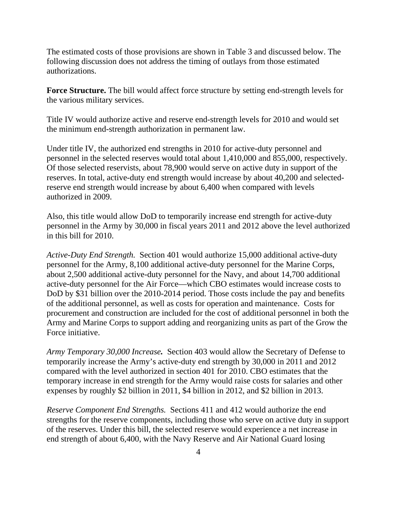The estimated costs of those provisions are shown in Table 3 and discussed below. The following discussion does not address the timing of outlays from those estimated authorizations.

**Force Structure.** The bill would affect force structure by setting end-strength levels for the various military services.

Title IV would authorize active and reserve end-strength levels for 2010 and would set the minimum end-strength authorization in permanent law.

Under title IV, the authorized end strengths in 2010 for active-duty personnel and personnel in the selected reserves would total about 1,410,000 and 855,000, respectively. Of those selected reservists, about 78,900 would serve on active duty in support of the reserves. In total, active-duty end strength would increase by about 40,200 and selectedreserve end strength would increase by about 6,400 when compared with levels authorized in 2009.

Also, this title would allow DoD to temporarily increase end strength for active-duty personnel in the Army by 30,000 in fiscal years 2011 and 2012 above the level authorized in this bill for 2010.

*Active-Duty End Strength.*Section 401 would authorize 15,000 additional active-duty personnel for the Army, 8,100 additional active-duty personnel for the Marine Corps, about 2,500 additional active-duty personnel for the Navy, and about 14,700 additional active-duty personnel for the Air Force—which CBO estimates would increase costs to DoD by \$31 billion over the 2010-2014 period. Those costs include the pay and benefits of the additional personnel, as well as costs for operation and maintenance. Costs for procurement and construction are included for the cost of additional personnel in both the Army and Marine Corps to support adding and reorganizing units as part of the Grow the Force initiative.

*Army Temporary 30,000 Increase.*Section 403 would allow the Secretary of Defense to temporarily increase the Army's active-duty end strength by 30,000 in 2011 and 2012 compared with the level authorized in section 401 for 2010. CBO estimates that the temporary increase in end strength for the Army would raise costs for salaries and other expenses by roughly \$2 billion in 2011, \$4 billion in 2012, and \$2 billion in 2013.

*Reserve Component End Strengths.* Sections 411 and 412 would authorize the end strengths for the reserve components, including those who serve on active duty in support of the reserves. Under this bill, the selected reserve would experience a net increase in end strength of about 6,400, with the Navy Reserve and Air National Guard losing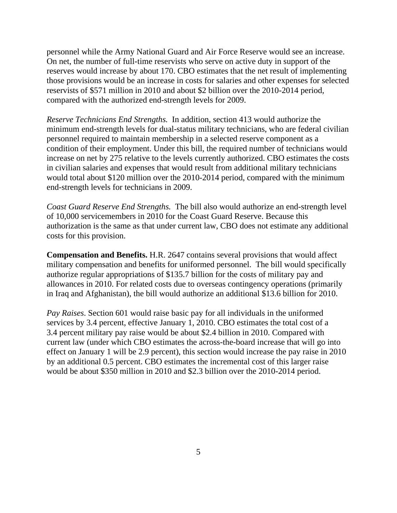personnel while the Army National Guard and Air Force Reserve would see an increase. On net, the number of full-time reservists who serve on active duty in support of the reserves would increase by about 170. CBO estimates that the net result of implementing those provisions would be an increase in costs for salaries and other expenses for selected reservists of \$571 million in 2010 and about \$2 billion over the 2010-2014 period, compared with the authorized end-strength levels for 2009.

*Reserve Technicians End Strengths.* In addition, section 413 would authorize the minimum end-strength levels for dual-status military technicians, who are federal civilian personnel required to maintain membership in a selected reserve component as a condition of their employment. Under this bill, the required number of technicians would increase on net by 275 relative to the levels currently authorized. CBO estimates the costs in civilian salaries and expenses that would result from additional military technicians would total about \$120 million over the 2010-2014 period, compared with the minimum end-strength levels for technicians in 2009.

*Coast Guard Reserve End Strengths.* The bill also would authorize an end-strength level of 10,000 servicemembers in 2010 for the Coast Guard Reserve. Because this authorization is the same as that under current law, CBO does not estimate any additional costs for this provision.

**Compensation and Benefits.** H.R. 2647 contains several provisions that would affect military compensation and benefits for uniformed personnel. The bill would specifically authorize regular appropriations of \$135.7 billion for the costs of military pay and allowances in 2010. For related costs due to overseas contingency operations (primarily in Iraq and Afghanistan), the bill would authorize an additional \$13.6 billion for 2010.

*Pay Raises*. Section 601 would raise basic pay for all individuals in the uniformed services by 3.4 percent, effective January 1, 2010. CBO estimates the total cost of a 3.4 percent military pay raise would be about \$2.4 billion in 2010. Compared with current law (under which CBO estimates the across-the-board increase that will go into effect on January 1 will be 2.9 percent), this section would increase the pay raise in 2010 by an additional 0.5 percent. CBO estimates the incremental cost of this larger raise would be about \$350 million in 2010 and \$2.3 billion over the 2010-2014 period.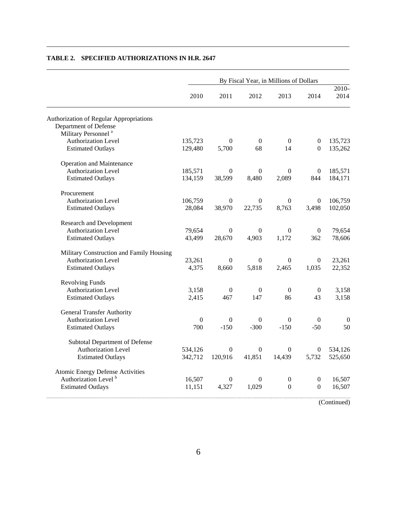|                                                | By Fiscal Year, in Millions of Dollars |                  |                  |                  |                  |                  |  |
|------------------------------------------------|----------------------------------------|------------------|------------------|------------------|------------------|------------------|--|
|                                                | 2010                                   | 2011             | 2012             | 2013             | 2014             | $2010 -$<br>2014 |  |
| <b>Authorization of Regular Appropriations</b> |                                        |                  |                  |                  |                  |                  |  |
| Department of Defense                          |                                        |                  |                  |                  |                  |                  |  |
| Military Personnel <sup>a</sup>                |                                        |                  |                  |                  |                  |                  |  |
| <b>Authorization Level</b>                     | 135,723                                | $\theta$         | $\mathbf{0}$     | $\Omega$         | $\overline{0}$   | 135,723          |  |
| <b>Estimated Outlays</b>                       | 129,480                                | 5,700            | 68               | 14               | $\Omega$         | 135,262          |  |
| <b>Operation and Maintenance</b>               |                                        |                  |                  |                  |                  |                  |  |
| <b>Authorization Level</b>                     | 185,571                                | $\overline{0}$   | $\mathbf{0}$     | $\Omega$         | $\boldsymbol{0}$ | 185,571          |  |
| <b>Estimated Outlays</b>                       | 134,159                                | 38,599           | 8,480            | 2,089            | 844              | 184,171          |  |
| Procurement                                    |                                        |                  |                  |                  |                  |                  |  |
| <b>Authorization Level</b>                     | 106,759                                | $\theta$         | $\Omega$         | $\Omega$         | $\theta$         | 106,759          |  |
| <b>Estimated Outlays</b>                       | 28,084                                 | 38,970           | 22,735           | 8,763            | 3,498            | 102,050          |  |
| <b>Research and Development</b>                |                                        |                  |                  |                  |                  |                  |  |
| <b>Authorization Level</b>                     | 79,654                                 | $\mathbf{0}$     | $\overline{0}$   | $\theta$         | 0                | 79,654           |  |
| <b>Estimated Outlays</b>                       | 43,499                                 | 28,670           | 4,903            | 1,172            | 362              | 78,606           |  |
| Military Construction and Family Housing       |                                        |                  |                  |                  |                  |                  |  |
| Authorization Level                            | 23,261                                 | $\mathbf{0}$     | $\mathbf{0}$     | $\theta$         | $\overline{0}$   | 23,261           |  |
| <b>Estimated Outlays</b>                       | 4,375                                  | 8,660            | 5,818            | 2,465            | 1,035            | 22,352           |  |
| <b>Revolving Funds</b>                         |                                        |                  |                  |                  |                  |                  |  |
| <b>Authorization Level</b>                     | 3,158                                  | $\overline{0}$   | $\overline{0}$   | $\overline{0}$   | $\theta$         | 3,158            |  |
| <b>Estimated Outlays</b>                       | 2,415                                  | 467              | 147              | 86               | 43               | 3,158            |  |
| <b>General Transfer Authority</b>              |                                        |                  |                  |                  |                  |                  |  |
| Authorization Level                            | $\mathbf{0}$                           | $\overline{0}$   | $\theta$         | $\Omega$         | $\overline{0}$   | $\boldsymbol{0}$ |  |
| <b>Estimated Outlays</b>                       | 700                                    | $-150$           | $-300$           | $-150$           | $-50$            | 50               |  |
| Subtotal Department of Defense                 |                                        |                  |                  |                  |                  |                  |  |
| <b>Authorization Level</b>                     | 534,126                                | $\theta$         | $\overline{0}$   | $\Omega$         | $\theta$         | 534,126          |  |
| <b>Estimated Outlays</b>                       | 342,712                                | 120,916          | 41,851           | 14,439           | 5,732            | 525,650          |  |
| Atomic Energy Defense Activities               |                                        |                  |                  |                  |                  |                  |  |
| Authorization Level <sup>b</sup>               | 16,507                                 | $\boldsymbol{0}$ | $\boldsymbol{0}$ | $\boldsymbol{0}$ | 0                | 16,507           |  |
| <b>Estimated Outlays</b>                       | 11,151                                 | 4,327            | 1.029            | $\boldsymbol{0}$ | $\Omega$         | 16,507           |  |

#### **TABLE 2. SPECIFIED AUTHORIZATIONS IN H.R. 2647**

(Continued)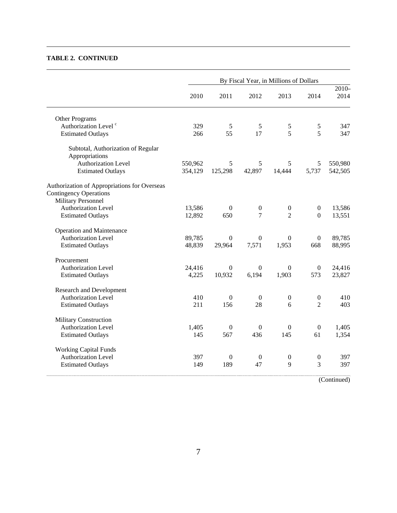#### **TABLE 2. CONTINUED**

|                                                                                                     | By Fiscal Year, in Millions of Dollars |                  |                  |                  |                  |                  |
|-----------------------------------------------------------------------------------------------------|----------------------------------------|------------------|------------------|------------------|------------------|------------------|
|                                                                                                     | 2010                                   | 2011             | 2012             | 2013             | 2014             | $2010 -$<br>2014 |
| Other Programs                                                                                      |                                        |                  |                  |                  |                  |                  |
| Authorization Level <sup>c</sup>                                                                    | 329                                    | 5                | 5                | $\mathfrak s$    | $\sqrt{5}$       | 347              |
| <b>Estimated Outlays</b>                                                                            | 266                                    | 55               | 17               | 5                | 5                | 347              |
| Subtotal, Authorization of Regular<br>Appropriations                                                |                                        |                  |                  |                  |                  |                  |
| Authorization Level                                                                                 | 550,962                                | 5                | 5                | 5                | 5                | 550,980          |
| <b>Estimated Outlays</b>                                                                            | 354,129                                | 125,298          | 42,897           | 14,444           | 5,737            | 542,505          |
| Authorization of Appropriations for Overseas<br><b>Contingency Operations</b><br>Military Personnel |                                        |                  |                  |                  |                  |                  |
| <b>Authorization Level</b>                                                                          | 13,586                                 | $\Omega$         | $\boldsymbol{0}$ | $\boldsymbol{0}$ | $\boldsymbol{0}$ | 13,586           |
| <b>Estimated Outlays</b>                                                                            | 12,892                                 | 650              | $\overline{7}$   | $\overline{2}$   | $\boldsymbol{0}$ | 13,551           |
| <b>Operation and Maintenance</b>                                                                    |                                        |                  |                  |                  |                  |                  |
| Authorization Level                                                                                 | 89,785                                 | $\overline{0}$   | $\overline{0}$   | $\overline{0}$   | $\boldsymbol{0}$ | 89,785           |
| <b>Estimated Outlays</b>                                                                            | 48,839                                 | 29,964           | 7,571            | 1,953            | 668              | 88,995           |
| Procurement                                                                                         |                                        |                  |                  |                  |                  |                  |
| <b>Authorization Level</b>                                                                          | 24,416                                 | $\Omega$         | $\Omega$         | $\boldsymbol{0}$ | $\boldsymbol{0}$ | 24,416           |
| <b>Estimated Outlays</b>                                                                            | 4,225                                  | 10,932           | 6,194            | 1,903            | 573              | 23,827           |
| <b>Research and Development</b>                                                                     |                                        |                  |                  |                  |                  |                  |
| <b>Authorization Level</b>                                                                          | 410                                    | $\boldsymbol{0}$ | $\boldsymbol{0}$ | $\boldsymbol{0}$ | $\boldsymbol{0}$ | 410              |
| <b>Estimated Outlays</b>                                                                            | 211                                    | 156              | 28               | 6                | $\overline{2}$   | 403              |
| <b>Military Construction</b>                                                                        |                                        |                  |                  |                  |                  |                  |
| Authorization Level                                                                                 | 1,405                                  | $\boldsymbol{0}$ | $\boldsymbol{0}$ | $\mathbf{0}$     | $\boldsymbol{0}$ | 1,405            |
| <b>Estimated Outlays</b>                                                                            | 145                                    | 567              | 436              | 145              | 61               | 1,354            |
| <b>Working Capital Funds</b>                                                                        |                                        |                  |                  |                  |                  |                  |
| Authorization Level                                                                                 | 397                                    | $\boldsymbol{0}$ | $\boldsymbol{0}$ | $\boldsymbol{0}$ | $\boldsymbol{0}$ | 397              |
| <b>Estimated Outlays</b>                                                                            | 149                                    | 189              | 47               | 9                | 3                | 397              |

(Continued)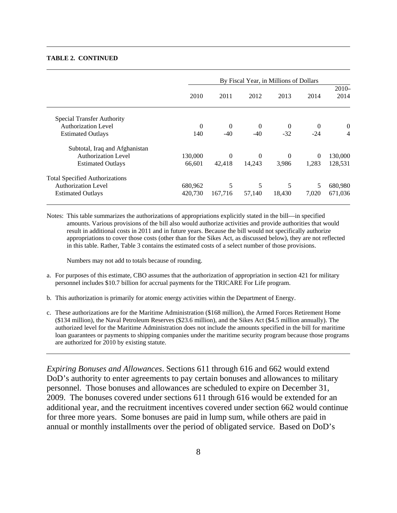#### **TABLE 2. CONTINUED**

|                                       | By Fiscal Year, in Millions of Dollars |          |          |          |          |                  |  |
|---------------------------------------|----------------------------------------|----------|----------|----------|----------|------------------|--|
|                                       | 2010                                   | 2011     | 2012     | 2013     | 2014     | $2010-$<br>2014  |  |
| Special Transfer Authority            |                                        |          |          |          |          |                  |  |
| Authorization Level                   | $\Omega$                               | $\Omega$ | $\theta$ | $\theta$ | $\Omega$ | $\boldsymbol{0}$ |  |
| <b>Estimated Outlays</b>              | 140                                    | $-40$    | $-40$    | $-32$    | $-24$    | $\overline{4}$   |  |
| Subtotal, Iraq and Afghanistan        |                                        |          |          |          |          |                  |  |
| <b>Authorization Level</b>            | 130,000                                | $\Omega$ | $\theta$ | $\Omega$ | $\theta$ | 130,000          |  |
| <b>Estimated Outlays</b>              | 66,601                                 | 42,418   | 14,243   | 3,986    | 1,283    | 128,531          |  |
| <b>Total Specified Authorizations</b> |                                        |          |          |          |          |                  |  |
| <b>Authorization Level</b>            | 680,962                                | 5        | 5        | 5        | 5        | 680,980          |  |
| <b>Estimated Outlays</b>              | 420.730                                | 167,716  | 57,140   | 18,430   | 7,020    | 671,036          |  |

Notes: This table summarizes the authorizations of appropriations explicitly stated in the bill—in specified amounts. Various provisions of the bill also would authorize activities and provide authorities that would result in additional costs in 2011 and in future years. Because the bill would not specifically authorize appropriations to cover those costs (other than for the Sikes Act, as discussed below), they are not reflected in this table. Rather, Table 3 contains the estimated costs of a select number of those provisions.

Numbers may not add to totals because of rounding.

- a. For purposes of this estimate, CBO assumes that the authorization of appropriation in section 421 for military personnel includes \$10.7 billion for accrual payments for the TRICARE For Life program.
- b. This authorization is primarily for atomic energy activities within the Department of Energy.
- c. These authorizations are for the Maritime Administration (\$168 million), the Armed Forces Retirement Home (\$134 million), the Naval Petroleum Reserves (\$23.6 million), and the Sikes Act (\$4.5 million annually). The authorized level for the Maritime Administration does not include the amounts specified in the bill for maritime loan guarantees or payments to shipping companies under the maritime security program because those programs are authorized for 2010 by existing statute.

*Expiring Bonuses and Allowances*. Sections 611 through 616 and 662 would extend DoD's authority to enter agreements to pay certain bonuses and allowances to military personnel. Those bonuses and allowances are scheduled to expire on December 31, 2009. The bonuses covered under sections 611 through 616 would be extended for an additional year, and the recruitment incentives covered under section 662 would continue for three more years. Some bonuses are paid in lump sum, while others are paid in annual or monthly installments over the period of obligated service. Based on DoD's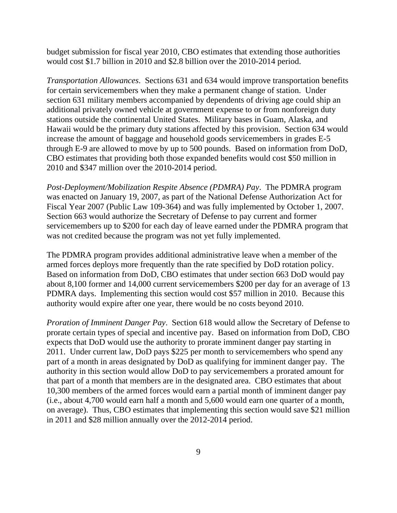budget submission for fiscal year 2010, CBO estimates that extending those authorities would cost \$1.7 billion in 2010 and \$2.8 billion over the 2010-2014 period.

*Transportation Allowances*. Sections 631 and 634 would improve transportation benefits for certain servicemembers when they make a permanent change of station. Under section 631 military members accompanied by dependents of driving age could ship an additional privately owned vehicle at government expense to or from nonforeign duty stations outside the continental United States. Military bases in Guam, Alaska, and Hawaii would be the primary duty stations affected by this provision. Section 634 would increase the amount of baggage and household goods servicemembers in grades E-5 through E-9 are allowed to move by up to 500 pounds. Based on information from DoD, CBO estimates that providing both those expanded benefits would cost \$50 million in 2010 and \$347 million over the 2010-2014 period.

*Post-Deployment/Mobilization Respite Absence (PDMRA) Pay*. The PDMRA program was enacted on January 19, 2007, as part of the National Defense Authorization Act for Fiscal Year 2007 (Public Law 109-364) and was fully implemented by October 1, 2007. Section 663 would authorize the Secretary of Defense to pay current and former servicemembers up to \$200 for each day of leave earned under the PDMRA program that was not credited because the program was not yet fully implemented.

The PDMRA program provides additional administrative leave when a member of the armed forces deploys more frequently than the rate specified by DoD rotation policy. Based on information from DoD, CBO estimates that under section 663 DoD would pay about 8,100 former and 14,000 current servicemembers \$200 per day for an average of 13 PDMRA days. Implementing this section would cost \$57 million in 2010. Because this authority would expire after one year, there would be no costs beyond 2010.

*Proration of Imminent Danger Pay*. Section 618 would allow the Secretary of Defense to prorate certain types of special and incentive pay. Based on information from DoD, CBO expects that DoD would use the authority to prorate imminent danger pay starting in 2011. Under current law, DoD pays \$225 per month to servicemembers who spend any part of a month in areas designated by DoD as qualifying for imminent danger pay. The authority in this section would allow DoD to pay servicemembers a prorated amount for that part of a month that members are in the designated area. CBO estimates that about 10,300 members of the armed forces would earn a partial month of imminent danger pay (i.e., about 4,700 would earn half a month and 5,600 would earn one quarter of a month, on average). Thus, CBO estimates that implementing this section would save \$21 million in 2011 and \$28 million annually over the 2012-2014 period.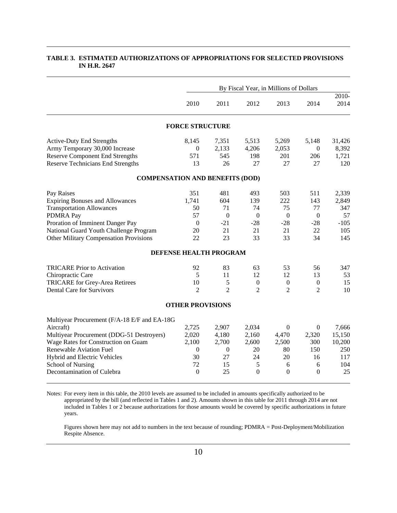|                                               |                         | By Fiscal Year, in Millions of Dollars |                  |                  |                  |               |  |
|-----------------------------------------------|-------------------------|----------------------------------------|------------------|------------------|------------------|---------------|--|
|                                               | 2010                    | 2011                                   | 2012             | 2013             | 2014             | 2010-<br>2014 |  |
|                                               | <b>FORCE STRUCTURE</b>  |                                        |                  |                  |                  |               |  |
| <b>Active-Duty End Strengths</b>              | 8,145                   | 7,351                                  | 5,513            | 5,269            | 5,148            | 31,426        |  |
| Army Temporary 30,000 Increase                | $\mathbf{0}$            | 2,133                                  | 4,206            | 2,053            | $\theta$         | 8,392         |  |
| <b>Reserve Component End Strengths</b>        | 571                     | 545                                    | 198              | 201              | 206              | 1,721         |  |
| <b>Reserve Technicians End Strengths</b>      | 13                      | 26                                     | 27               | 27               | 27               | 120           |  |
| <b>COMPENSATION AND BENEFITS (DOD)</b>        |                         |                                        |                  |                  |                  |               |  |
| Pay Raises                                    | 351                     | 481                                    | 493              | 503              | 511              | 2,339         |  |
| <b>Expiring Bonuses and Allowances</b>        | 1,741                   | 604                                    | 139              | 222              | 143              | 2,849         |  |
| <b>Transportation Allowances</b>              | 50                      | 71                                     | 74               | 75               | 77               | 347           |  |
| <b>PDMRA Pay</b>                              | 57                      | $\boldsymbol{0}$                       | $\mathbf{0}$     | $\boldsymbol{0}$ | $\theta$         | 57            |  |
| Proration of Imminent Danger Pay              | $\boldsymbol{0}$        | $-21$                                  | $-28$            | $-28$            | $-28$            | $-105$        |  |
| National Guard Youth Challenge Program        | 20                      | 21                                     | 21               | 21               | 22               | 105           |  |
| <b>Other Military Compensation Provisions</b> | 22                      | 23                                     | 33               | 33               | 34               | 145           |  |
|                                               |                         | DEFENSE HEALTH PROGRAM                 |                  |                  |                  |               |  |
| <b>TRICARE</b> Prior to Activation            | 92                      | 83                                     | 63               | 53               | 56               | 347           |  |
| Chiropractic Care                             | 5                       | 11                                     | 12               | 12               | 13               | 53            |  |
| TRICARE for Grey-Area Retirees                | 10                      | 5                                      | $\boldsymbol{0}$ | $\boldsymbol{0}$ | $\boldsymbol{0}$ | 15            |  |
| <b>Dental Care for Survivors</b>              | $\overline{2}$          | $\overline{2}$                         | $\overline{2}$   | $\overline{2}$   | $\overline{2}$   | 10            |  |
|                                               | <b>OTHER PROVISIONS</b> |                                        |                  |                  |                  |               |  |
| Multiyear Procurement (F/A-18 E/F and EA-18G  |                         |                                        |                  |                  |                  |               |  |
| Aircraft)                                     | 2,725                   | 2,907                                  | 2,034            | $\Omega$         | $\mathbf{0}$     | 7,666         |  |
| Multiyear Procurement (DDG-51 Destroyers)     | 2,020                   | 4,180                                  | 2,160            | 4,470            | 2,320            | 15,150        |  |
| Wage Rates for Construction on Guam           | 2,100                   | 2,700                                  | 2,600            | 2,500            | 300              | 10,200        |  |
| <b>Renewable Aviation Fuel</b>                | $\mathbf{0}$            | $\boldsymbol{0}$                       | 20               | 80               | 150              | 250           |  |
| Hybrid and Electric Vehicles                  | 30                      | 27                                     | 24               | 20               | 16               | 117           |  |
| <b>School of Nursing</b>                      | 72                      | 15                                     | 5                | 6                | 6                | 104           |  |
| Decontamination of Culebra                    | $\Omega$                | 25                                     | $\theta$         | $\Omega$         | $\Omega$         | 25            |  |
|                                               |                         |                                        |                  |                  |                  |               |  |

#### **TABLE 3. ESTIMATED AUTHORIZATIONS OF APPROPRIATIONS FOR SELECTED PROVISIONS IN H.R. 2647**

Notes: For every item in this table, the 2010 levels are assumed to be included in amounts specifically authorized to be appropriated by the bill (and reflected in Tables 1 and 2). Amounts shown in this table for 2011 through 2014 are not included in Tables 1 or 2 because authorizations for those amounts would be covered by specific authorizations in future years.

 Figures shown here may not add to numbers in the text because of rounding; PDMRA = Post-Deployment/Mobilization Respite Absence.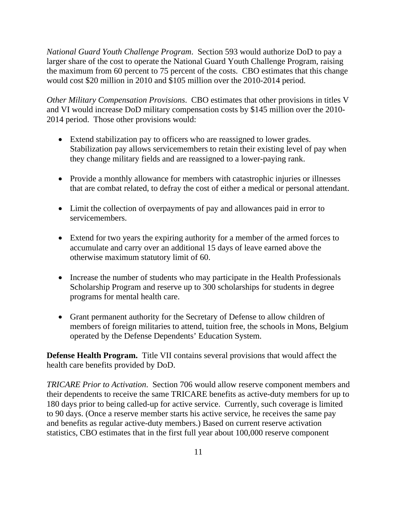*National Guard Youth Challenge Program*. Section 593 would authorize DoD to pay a larger share of the cost to operate the National Guard Youth Challenge Program, raising the maximum from 60 percent to 75 percent of the costs. CBO estimates that this change would cost \$20 million in 2010 and \$105 million over the 2010-2014 period.

*Other Military Compensation Provisions*. CBO estimates that other provisions in titles V and VI would increase DoD military compensation costs by \$145 million over the 2010- 2014 period. Those other provisions would:

- Extend stabilization pay to officers who are reassigned to lower grades. Stabilization pay allows servicemembers to retain their existing level of pay when they change military fields and are reassigned to a lower-paying rank.
- Provide a monthly allowance for members with catastrophic injuries or illnesses that are combat related, to defray the cost of either a medical or personal attendant.
- Limit the collection of overpayments of pay and allowances paid in error to servicemembers.
- Extend for two years the expiring authority for a member of the armed forces to accumulate and carry over an additional 15 days of leave earned above the otherwise maximum statutory limit of 60.
- Increase the number of students who may participate in the Health Professionals Scholarship Program and reserve up to 300 scholarships for students in degree programs for mental health care.
- Grant permanent authority for the Secretary of Defense to allow children of members of foreign militaries to attend, tuition free, the schools in Mons, Belgium operated by the Defense Dependents' Education System.

**Defense Health Program.** Title VII contains several provisions that would affect the health care benefits provided by DoD.

*TRICARE Prior to Activation*. Section 706 would allow reserve component members and their dependents to receive the same TRICARE benefits as active-duty members for up to 180 days prior to being called-up for active service. Currently, such coverage is limited to 90 days. (Once a reserve member starts his active service, he receives the same pay and benefits as regular active-duty members.) Based on current reserve activation statistics, CBO estimates that in the first full year about 100,000 reserve component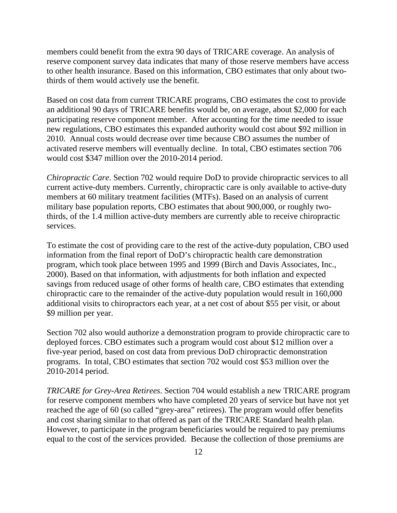members could benefit from the extra 90 days of TRICARE coverage. An analysis of reserve component survey data indicates that many of those reserve members have access to other health insurance. Based on this information, CBO estimates that only about twothirds of them would actively use the benefit.

Based on cost data from current TRICARE programs, CBO estimates the cost to provide an additional 90 days of TRICARE benefits would be, on average, about \$2,000 for each participating reserve component member. After accounting for the time needed to issue new regulations, CBO estimates this expanded authority would cost about \$92 million in 2010. Annual costs would decrease over time because CBO assumes the number of activated reserve members will eventually decline. In total, CBO estimates section 706 would cost \$347 million over the 2010-2014 period.

*Chiropractic Care*. Section 702 would require DoD to provide chiropractic services to all current active-duty members. Currently, chiropractic care is only available to active-duty members at 60 military treatment facilities (MTFs). Based on an analysis of current military base population reports, CBO estimates that about 900,000, or roughly twothirds, of the 1.4 million active-duty members are currently able to receive chiropractic services.

To estimate the cost of providing care to the rest of the active-duty population, CBO used information from the final report of DoD's chiropractic health care demonstration program, which took place between 1995 and 1999 (Birch and Davis Associates, Inc., 2000). Based on that information, with adjustments for both inflation and expected savings from reduced usage of other forms of health care, CBO estimates that extending chiropractic care to the remainder of the active-duty population would result in 160,000 additional visits to chiropractors each year, at a net cost of about \$55 per visit, or about \$9 million per year.

Section 702 also would authorize a demonstration program to provide chiropractic care to deployed forces. CBO estimates such a program would cost about \$12 million over a five-year period, based on cost data from previous DoD chiropractic demonstration programs. In total, CBO estimates that section 702 would cost \$53 million over the 2010-2014 period.

*TRICARE for Grey-Area Retirees*. Section 704 would establish a new TRICARE program for reserve component members who have completed 20 years of service but have not yet reached the age of 60 (so called "grey-area" retirees). The program would offer benefits and cost sharing similar to that offered as part of the TRICARE Standard health plan. However, to participate in the program beneficiaries would be required to pay premiums equal to the cost of the services provided. Because the collection of those premiums are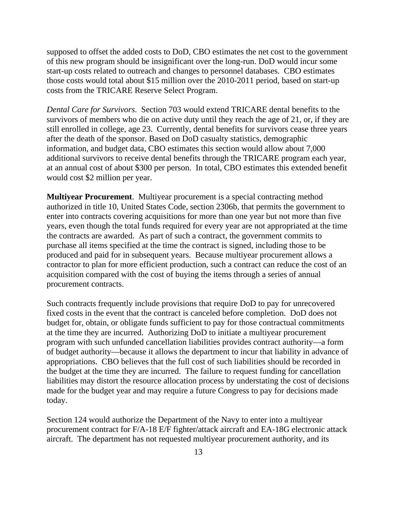supposed to offset the added costs to DoD, CBO estimates the net cost to the government of this new program should be insignificant over the long-run. DoD would incur some start-up costs related to outreach and changes to personnel databases. CBO estimates those costs would total about \$15 million over the 2010-2011 period, based on start-up costs from the TRICARE Reserve Select Program.

*Dental Care for Survivors*. Section 703 would extend TRICARE dental benefits to the survivors of members who die on active duty until they reach the age of 21, or, if they are still enrolled in college, age 23. Currently, dental benefits for survivors cease three years after the death of the sponsor. Based on DoD casualty statistics, demographic information, and budget data, CBO estimates this section would allow about 7,000 additional survivors to receive dental benefits through the TRICARE program each year, at an annual cost of about \$300 per person. In total, CBO estimates this extended benefit would cost \$2 million per year.

**Multiyear Procurement**. Multiyear procurement is a special contracting method authorized in title 10, United States Code, section 2306b, that permits the government to enter into contracts covering acquisitions for more than one year but not more than five years, even though the total funds required for every year are not appropriated at the time the contracts are awarded. As part of such a contract, the government commits to purchase all items specified at the time the contract is signed, including those to be produced and paid for in subsequent years. Because multiyear procurement allows a contractor to plan for more efficient production, such a contract can reduce the cost of an acquisition compared with the cost of buying the items through a series of annual procurement contracts.

Such contracts frequently include provisions that require DoD to pay for unrecovered fixed costs in the event that the contract is canceled before completion. DoD does not budget for, obtain, or obligate funds sufficient to pay for those contractual commitments at the time they are incurred. Authorizing DoD to initiate a multiyear procurement program with such unfunded cancellation liabilities provides contract authority—a form of budget authority—because it allows the department to incur that liability in advance of appropriations. CBO believes that the full cost of such liabilities should be recorded in the budget at the time they are incurred. The failure to request funding for cancellation liabilities may distort the resource allocation process by understating the cost of decisions made for the budget year and may require a future Congress to pay for decisions made today.

Section 124 would authorize the Department of the Navy to enter into a multiyear procurement contract for F/A-18 E/F fighter/attack aircraft and EA-18G electronic attack aircraft. The department has not requested multiyear procurement authority, and its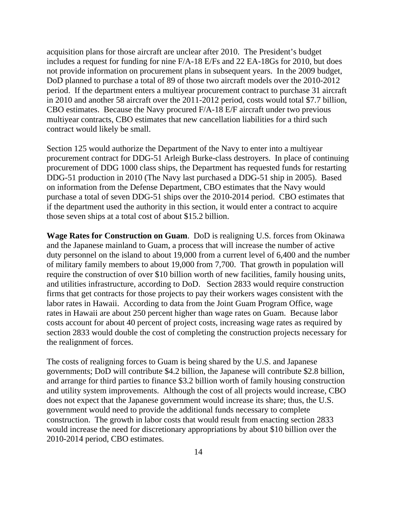acquisition plans for those aircraft are unclear after 2010. The President's budget includes a request for funding for nine F/A-18 E/Fs and 22 EA-18Gs for 2010, but does not provide information on procurement plans in subsequent years. In the 2009 budget, DoD planned to purchase a total of 89 of those two aircraft models over the 2010-2012 period. If the department enters a multiyear procurement contract to purchase 31 aircraft in 2010 and another 58 aircraft over the 2011-2012 period, costs would total \$7.7 billion, CBO estimates. Because the Navy procured F/A-18 E/F aircraft under two previous multiyear contracts, CBO estimates that new cancellation liabilities for a third such contract would likely be small.

Section 125 would authorize the Department of the Navy to enter into a multiyear procurement contract for DDG-51 Arleigh Burke-class destroyers. In place of continuing procurement of DDG 1000 class ships, the Department has requested funds for restarting DDG-51 production in 2010 (The Navy last purchased a DDG-51 ship in 2005). Based on information from the Defense Department, CBO estimates that the Navy would purchase a total of seven DDG-51 ships over the 2010-2014 period. CBO estimates that if the department used the authority in this section, it would enter a contract to acquire those seven ships at a total cost of about \$15.2 billion.

**Wage Rates for Construction on Guam**. DoD is realigning U.S. forces from Okinawa and the Japanese mainland to Guam, a process that will increase the number of active duty personnel on the island to about 19,000 from a current level of 6,400 and the number of military family members to about 19,000 from 7,700. That growth in population will require the construction of over \$10 billion worth of new facilities, family housing units, and utilities infrastructure, according to DoD. Section 2833 would require construction firms that get contracts for those projects to pay their workers wages consistent with the labor rates in Hawaii. According to data from the Joint Guam Program Office, wage rates in Hawaii are about 250 percent higher than wage rates on Guam. Because labor costs account for about 40 percent of project costs, increasing wage rates as required by section 2833 would double the cost of completing the construction projects necessary for the realignment of forces.

The costs of realigning forces to Guam is being shared by the U.S. and Japanese governments; DoD will contribute \$4.2 billion, the Japanese will contribute \$2.8 billion, and arrange for third parties to finance \$3.2 billion worth of family housing construction and utility system improvements. Although the cost of all projects would increase, CBO does not expect that the Japanese government would increase its share; thus, the U.S. government would need to provide the additional funds necessary to complete construction. The growth in labor costs that would result from enacting section 2833 would increase the need for discretionary appropriations by about \$10 billion over the 2010-2014 period, CBO estimates.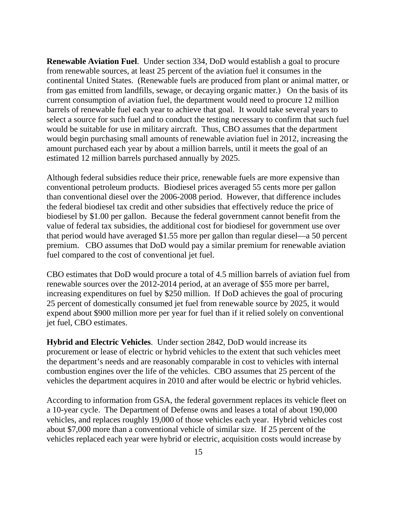**Renewable Aviation Fuel**. Under section 334, DoD would establish a goal to procure from renewable sources, at least 25 percent of the aviation fuel it consumes in the continental United States. (Renewable fuels are produced from plant or animal matter, or from gas emitted from landfills, sewage, or decaying organic matter.) On the basis of its current consumption of aviation fuel, the department would need to procure 12 million barrels of renewable fuel each year to achieve that goal. It would take several years to select a source for such fuel and to conduct the testing necessary to confirm that such fuel would be suitable for use in military aircraft. Thus, CBO assumes that the department would begin purchasing small amounts of renewable aviation fuel in 2012, increasing the amount purchased each year by about a million barrels, until it meets the goal of an estimated 12 million barrels purchased annually by 2025.

Although federal subsidies reduce their price, renewable fuels are more expensive than conventional petroleum products. Biodiesel prices averaged 55 cents more per gallon than conventional diesel over the 2006-2008 period. However, that difference includes the federal biodiesel tax credit and other subsidies that effectively reduce the price of biodiesel by \$1.00 per gallon. Because the federal government cannot benefit from the value of federal tax subsidies, the additional cost for biodiesel for government use over that period would have averaged \$1.55 more per gallon than regular diesel—a 50 percent premium. CBO assumes that DoD would pay a similar premium for renewable aviation fuel compared to the cost of conventional jet fuel.

CBO estimates that DoD would procure a total of 4.5 million barrels of aviation fuel from renewable sources over the 2012-2014 period, at an average of \$55 more per barrel, increasing expenditures on fuel by \$250 million. If DoD achieves the goal of procuring 25 percent of domestically consumed jet fuel from renewable source by 2025, it would expend about \$900 million more per year for fuel than if it relied solely on conventional jet fuel, CBO estimates.

**Hybrid and Electric Vehicles**. Under section 2842, DoD would increase its procurement or lease of electric or hybrid vehicles to the extent that such vehicles meet the department's needs and are reasonably comparable in cost to vehicles with internal combustion engines over the life of the vehicles. CBO assumes that 25 percent of the vehicles the department acquires in 2010 and after would be electric or hybrid vehicles.

According to information from GSA, the federal government replaces its vehicle fleet on a 10-year cycle. The Department of Defense owns and leases a total of about 190,000 vehicles, and replaces roughly 19,000 of those vehicles each year. Hybrid vehicles cost about \$7,000 more than a conventional vehicle of similar size. If 25 percent of the vehicles replaced each year were hybrid or electric, acquisition costs would increase by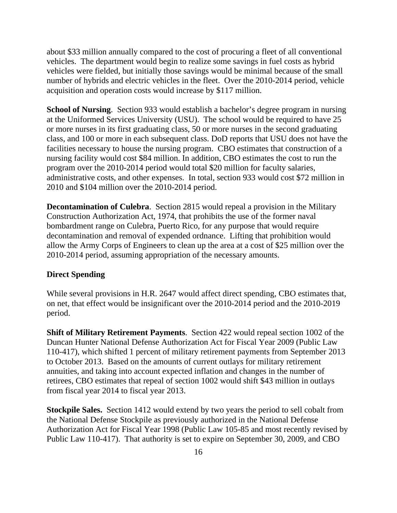about \$33 million annually compared to the cost of procuring a fleet of all conventional vehicles. The department would begin to realize some savings in fuel costs as hybrid vehicles were fielded, but initially those savings would be minimal because of the small number of hybrids and electric vehicles in the fleet. Over the 2010-2014 period, vehicle acquisition and operation costs would increase by \$117 million.

**School of Nursing**. Section 933 would establish a bachelor's degree program in nursing at the Uniformed Services University (USU). The school would be required to have 25 or more nurses in its first graduating class, 50 or more nurses in the second graduating class, and 100 or more in each subsequent class. DoD reports that USU does not have the facilities necessary to house the nursing program. CBO estimates that construction of a nursing facility would cost \$84 million. In addition, CBO estimates the cost to run the program over the 2010-2014 period would total \$20 million for faculty salaries, administrative costs, and other expenses. In total, section 933 would cost \$72 million in 2010 and \$104 million over the 2010-2014 period.

**Decontamination of Culebra**. Section 2815 would repeal a provision in the Military Construction Authorization Act, 1974, that prohibits the use of the former naval bombardment range on Culebra, Puerto Rico, for any purpose that would require decontamination and removal of expended ordnance. Lifting that prohibition would allow the Army Corps of Engineers to clean up the area at a cost of \$25 million over the 2010-2014 period, assuming appropriation of the necessary amounts.

#### **Direct Spending**

While several provisions in H.R. 2647 would affect direct spending, CBO estimates that, on net, that effect would be insignificant over the 2010-2014 period and the 2010-2019 period.

**Shift of Military Retirement Payments**. Section 422 would repeal section 1002 of the Duncan Hunter National Defense Authorization Act for Fiscal Year 2009 (Public Law 110-417), which shifted 1 percent of military retirement payments from September 2013 to October 2013. Based on the amounts of current outlays for military retirement annuities, and taking into account expected inflation and changes in the number of retirees, CBO estimates that repeal of section 1002 would shift \$43 million in outlays from fiscal year 2014 to fiscal year 2013.

**Stockpile Sales.** Section 1412 would extend by two years the period to sell cobalt from the National Defense Stockpile as previously authorized in the National Defense Authorization Act for Fiscal Year 1998 (Public Law 105-85 and most recently revised by Public Law 110-417). That authority is set to expire on September 30, 2009, and CBO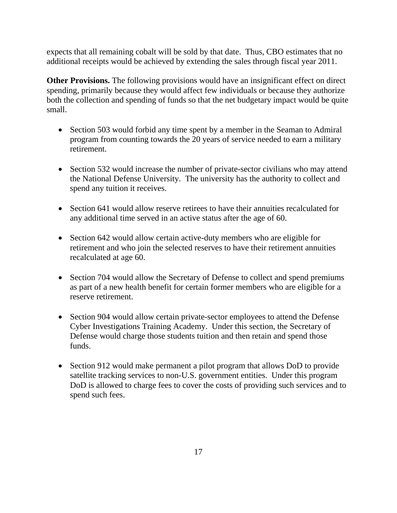expects that all remaining cobalt will be sold by that date. Thus, CBO estimates that no additional receipts would be achieved by extending the sales through fiscal year 2011.

**Other Provisions.** The following provisions would have an insignificant effect on direct spending, primarily because they would affect few individuals or because they authorize both the collection and spending of funds so that the net budgetary impact would be quite small.

- Section 503 would forbid any time spent by a member in the Seaman to Admiral program from counting towards the 20 years of service needed to earn a military retirement.
- Section 532 would increase the number of private-sector civilians who may attend the National Defense University. The university has the authority to collect and spend any tuition it receives.
- Section 641 would allow reserve retirees to have their annuities recalculated for any additional time served in an active status after the age of 60.
- Section 642 would allow certain active-duty members who are eligible for retirement and who join the selected reserves to have their retirement annuities recalculated at age 60.
- Section 704 would allow the Secretary of Defense to collect and spend premiums as part of a new health benefit for certain former members who are eligible for a reserve retirement.
- Section 904 would allow certain private-sector employees to attend the Defense Cyber Investigations Training Academy. Under this section, the Secretary of Defense would charge those students tuition and then retain and spend those funds.
- Section 912 would make permanent a pilot program that allows DoD to provide satellite tracking services to non-U.S. government entities. Under this program DoD is allowed to charge fees to cover the costs of providing such services and to spend such fees.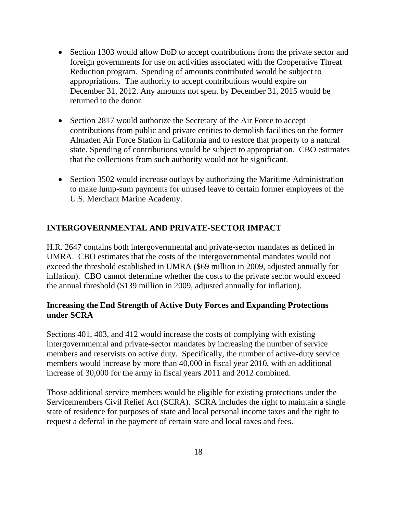- Section 1303 would allow DoD to accept contributions from the private sector and foreign governments for use on activities associated with the Cooperative Threat Reduction program. Spending of amounts contributed would be subject to appropriations. The authority to accept contributions would expire on December 31, 2012. Any amounts not spent by December 31, 2015 would be returned to the donor.
- Section 2817 would authorize the Secretary of the Air Force to accept contributions from public and private entities to demolish facilities on the former Almaden Air Force Station in California and to restore that property to a natural state. Spending of contributions would be subject to appropriation. CBO estimates that the collections from such authority would not be significant.
- Section 3502 would increase outlays by authorizing the Maritime Administration to make lump-sum payments for unused leave to certain former employees of the U.S. Merchant Marine Academy.

# **INTERGOVERNMENTAL AND PRIVATE-SECTOR IMPACT**

H.R. 2647 contains both intergovernmental and private-sector mandates as defined in UMRA. CBO estimates that the costs of the intergovernmental mandates would not exceed the threshold established in UMRA (\$69 million in 2009, adjusted annually for inflation). CBO cannot determine whether the costs to the private sector would exceed the annual threshold (\$139 million in 2009, adjusted annually for inflation).

# **Increasing the End Strength of Active Duty Forces and Expanding Protections under SCRA**

Sections 401, 403, and 412 would increase the costs of complying with existing intergovernmental and private-sector mandates by increasing the number of service members and reservists on active duty. Specifically, the number of active-duty service members would increase by more than 40,000 in fiscal year 2010, with an additional increase of 30,000 for the army in fiscal years 2011 and 2012 combined.

Those additional service members would be eligible for existing protections under the Servicemembers Civil Relief Act (SCRA). SCRA includes the right to maintain a single state of residence for purposes of state and local personal income taxes and the right to request a deferral in the payment of certain state and local taxes and fees.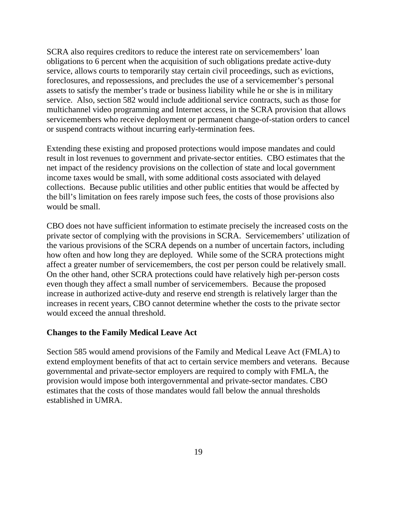SCRA also requires creditors to reduce the interest rate on servicemembers' loan obligations to 6 percent when the acquisition of such obligations predate active-duty service, allows courts to temporarily stay certain civil proceedings, such as evictions, foreclosures, and repossessions, and precludes the use of a servicemember's personal assets to satisfy the member's trade or business liability while he or she is in military service. Also, section 582 would include additional service contracts, such as those for multichannel video programming and Internet access, in the SCRA provision that allows servicemembers who receive deployment or permanent change-of-station orders to cancel or suspend contracts without incurring early-termination fees.

Extending these existing and proposed protections would impose mandates and could result in lost revenues to government and private-sector entities. CBO estimates that the net impact of the residency provisions on the collection of state and local government income taxes would be small, with some additional costs associated with delayed collections. Because public utilities and other public entities that would be affected by the bill's limitation on fees rarely impose such fees, the costs of those provisions also would be small.

CBO does not have sufficient information to estimate precisely the increased costs on the private sector of complying with the provisions in SCRA. Servicemembers' utilization of the various provisions of the SCRA depends on a number of uncertain factors, including how often and how long they are deployed. While some of the SCRA protections might affect a greater number of servicemembers, the cost per person could be relatively small. On the other hand, other SCRA protections could have relatively high per-person costs even though they affect a small number of servicemembers. Because the proposed increase in authorized active-duty and reserve end strength is relatively larger than the increases in recent years, CBO cannot determine whether the costs to the private sector would exceed the annual threshold.

#### **Changes to the Family Medical Leave Act**

Section 585 would amend provisions of the Family and Medical Leave Act (FMLA) to extend employment benefits of that act to certain service members and veterans. Because governmental and private-sector employers are required to comply with FMLA, the provision would impose both intergovernmental and private-sector mandates. CBO estimates that the costs of those mandates would fall below the annual thresholds established in UMRA.